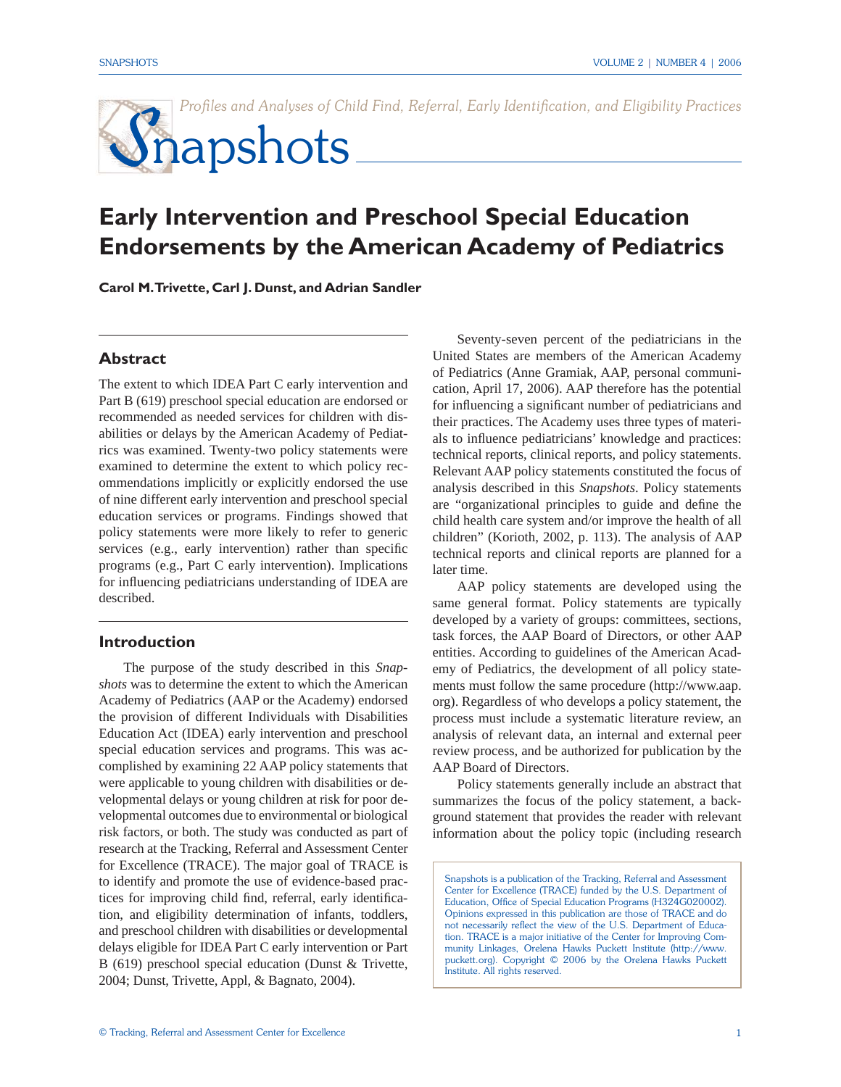Profiles and Analyses of Child Find, Referral, Early Identification, and Eligibility Practices

# Snapshots

# **Early Intervention and Preschool Special Education Endorsements by the American Academy of Pediatrics**

**Carol M. Trivette, Carl J. Dunst, and Adrian Sandler**

#### **Abstract**

The extent to which IDEA Part C early intervention and Part B (619) preschool special education are endorsed or recommended as needed services for children with disabilities or delays by the American Academy of Pediatrics was examined. Twenty-two policy statements were examined to determine the extent to which policy recommendations implicitly or explicitly endorsed the use of nine different early intervention and preschool special education services or programs. Findings showed that policy statements were more likely to refer to generic services (e.g., early intervention) rather than specific programs (e.g., Part C early intervention). Implications for influencing pediatricians understanding of IDEA are described.

#### **Introduction**

The purpose of the study described in this *Snapshots* was to determine the extent to which the American Academy of Pediatrics (AAP or the Academy) endorsed the provision of different Individuals with Disabilities Education Act (IDEA) early intervention and preschool special education services and programs. This was accomplished by examining 22 AAP policy statements that were applicable to young children with disabilities or developmental delays or young children at risk for poor developmental outcomes due to environmental or biological risk factors, or both. The study was conducted as part of research at the Tracking, Referral and Assessment Center for Excellence (TRACE). The major goal of TRACE is to identify and promote the use of evidence-based practices for improving child find, referral, early identification, and eligibility determination of infants, toddlers, and preschool children with disabilities or developmental delays eligible for IDEA Part C early intervention or Part B (619) preschool special education (Dunst & Trivette, 2004; Dunst, Trivette, Appl, & Bagnato, 2004).

Seventy-seven percent of the pediatricians in the United States are members of the American Academy of Pediatrics (Anne Gramiak, AAP, personal communication, April 17, 2006). AAP therefore has the potential for influencing a significant number of pediatricians and their practices. The Academy uses three types of materials to influence pediatricians' knowledge and practices: technical reports, clinical reports, and policy statements. Relevant AAP policy statements constituted the focus of analysis described in this *Snapshots*. Policy statements are "organizational principles to guide and define the child health care system and/or improve the health of all children" (Korioth, 2002, p. 113). The analysis of AAP technical reports and clinical reports are planned for a later time.

AAP policy statements are developed using the same general format. Policy statements are typically developed by a variety of groups: committees, sections, task forces, the AAP Board of Directors, or other AAP entities. According to guidelines of the American Academy of Pediatrics, the development of all policy statements must follow the same procedure (http://www.aap. org). Regardless of who develops a policy statement, the process must include a systematic literature review, an analysis of relevant data, an internal and external peer review process, and be authorized for publication by the AAP Board of Directors.

Policy statements generally include an abstract that summarizes the focus of the policy statement, a background statement that provides the reader with relevant information about the policy topic (including research

Snapshots is a publication of the Tracking, Referral and Assessment Center for Excellence (TRACE) funded by the U.S. Department of Education, Office of Special Education Programs (H324G020002). Opinions expressed in this publication are those of TRACE and do not necessarily reflect the view of the U.S. Department of Education. TRACE is a major initiative of the Center for Improving Community Linkages, Orelena Hawks Puckett Institute (http://www. puckett.org). Copyright © 2006 by the Orelena Hawks Puckett Institute. All rights reserved.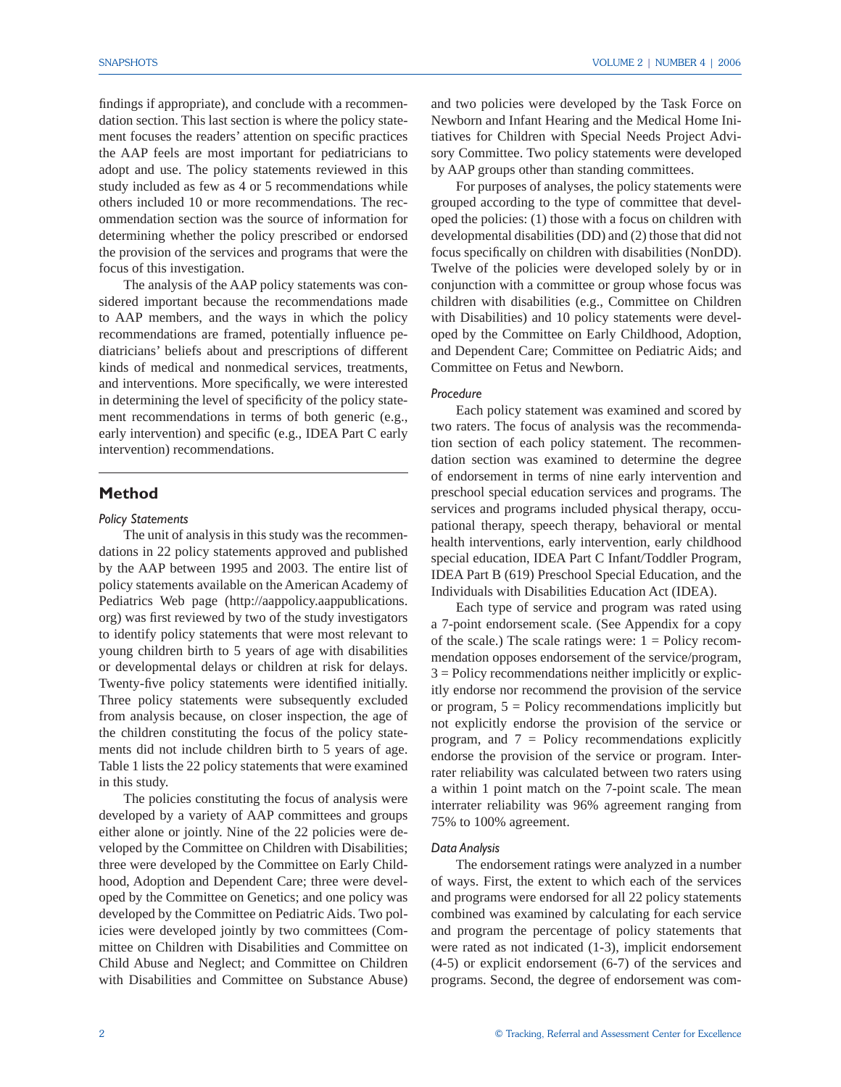findings if appropriate), and conclude with a recommendation section. This last section is where the policy statement focuses the readers' attention on specific practices the AAP feels are most important for pediatricians to adopt and use. The policy statements reviewed in this study included as few as 4 or 5 recommendations while others included 10 or more recommendations. The recommendation section was the source of information for determining whether the policy prescribed or endorsed the provision of the services and programs that were the focus of this investigation.

The analysis of the AAP policy statements was considered important because the recommendations made to AAP members, and the ways in which the policy recommendations are framed, potentially influence pediatricians' beliefs about and prescriptions of different kinds of medical and nonmedical services, treatments, and interventions. More specifically, we were interested in determining the level of specificity of the policy statement recommendations in terms of both generic (e.g., early intervention) and specific (e.g., IDEA Part C early intervention) recommendations.

#### **Method**

#### *Policy Statements*

The unit of analysis in this study was the recommendations in 22 policy statements approved and published by the AAP between 1995 and 2003. The entire list of policy statements available on the American Academy of Pediatrics Web page (http://aappolicy.aappublications. org) was first reviewed by two of the study investigators to identify policy statements that were most relevant to young children birth to 5 years of age with disabilities or developmental delays or children at risk for delays. Twenty-five policy statements were identified initially. Three policy statements were subsequently excluded from analysis because, on closer inspection, the age of the children constituting the focus of the policy statements did not include children birth to 5 years of age. Table 1 lists the 22 policy statements that were examined in this study.

The policies constituting the focus of analysis were developed by a variety of AAP committees and groups either alone or jointly. Nine of the 22 policies were developed by the Committee on Children with Disabilities; three were developed by the Committee on Early Childhood, Adoption and Dependent Care; three were developed by the Committee on Genetics; and one policy was developed by the Committee on Pediatric Aids. Two policies were developed jointly by two committees (Committee on Children with Disabilities and Committee on Child Abuse and Neglect; and Committee on Children with Disabilities and Committee on Substance Abuse)

and two policies were developed by the Task Force on Newborn and Infant Hearing and the Medical Home Initiatives for Children with Special Needs Project Advisory Committee. Two policy statements were developed by AAP groups other than standing committees.

For purposes of analyses, the policy statements were grouped according to the type of committee that developed the policies: (1) those with a focus on children with developmental disabilities (DD) and (2) those that did not focus specifically on children with disabilities (NonDD). Twelve of the policies were developed solely by or in conjunction with a committee or group whose focus was children with disabilities (e.g., Committee on Children with Disabilities) and 10 policy statements were developed by the Committee on Early Childhood, Adoption, and Dependent Care; Committee on Pediatric Aids; and Committee on Fetus and Newborn.

#### *Procedure*

Each policy statement was examined and scored by two raters. The focus of analysis was the recommendation section of each policy statement. The recommendation section was examined to determine the degree of endorsement in terms of nine early intervention and preschool special education services and programs. The services and programs included physical therapy, occupational therapy, speech therapy, behavioral or mental health interventions, early intervention, early childhood special education, IDEA Part C Infant/Toddler Program, IDEA Part B (619) Preschool Special Education, and the Individuals with Disabilities Education Act (IDEA).

Each type of service and program was rated using a 7-point endorsement scale. (See Appendix for a copy of the scale.) The scale ratings were:  $1 =$  Policy recommendation opposes endorsement of the service/program, 3 = Policy recommendations neither implicitly or explicitly endorse nor recommend the provision of the service or program,  $5 =$  Policy recommendations implicitly but not explicitly endorse the provision of the service or program, and  $7 =$  Policy recommendations explicitly endorse the provision of the service or program. Interrater reliability was calculated between two raters using a within 1 point match on the 7-point scale. The mean interrater reliability was 96% agreement ranging from 75% to 100% agreement.

#### *Data Analysis*

The endorsement ratings were analyzed in a number of ways. First, the extent to which each of the services and programs were endorsed for all 22 policy statements combined was examined by calculating for each service and program the percentage of policy statements that were rated as not indicated (1-3), implicit endorsement (4-5) or explicit endorsement (6-7) of the services and programs. Second, the degree of endorsement was com-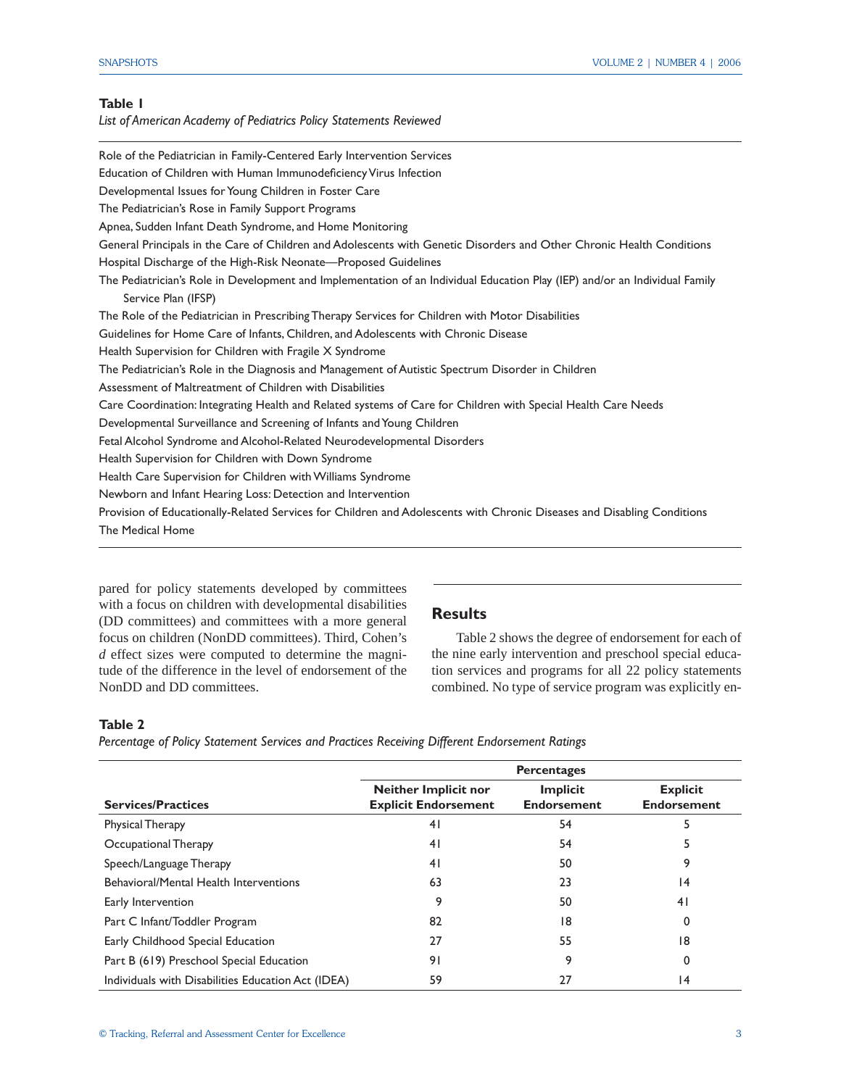## **Table 1**

*List of American Academy of Pediatrics Policy Statements Reviewed*

| Education of Children with Human Immunodeficiency Virus Infection<br>Developmental Issues for Young Children in Foster Care<br>The Pediatrician's Rose in Family Support Programs |
|-----------------------------------------------------------------------------------------------------------------------------------------------------------------------------------|
|                                                                                                                                                                                   |
|                                                                                                                                                                                   |
|                                                                                                                                                                                   |
| Apnea, Sudden Infant Death Syndrome, and Home Monitoring                                                                                                                          |
| General Principals in the Care of Children and Adolescents with Genetic Disorders and Other Chronic Health Conditions                                                             |
| Hospital Discharge of the High-Risk Neonate-Proposed Guidelines                                                                                                                   |
| The Pediatrician's Role in Development and Implementation of an Individual Education Play (IEP) and/or an Individual Family<br>Service Plan (IFSP)                                |
| The Role of the Pediatrician in Prescribing Therapy Services for Children with Motor Disabilities                                                                                 |
| Guidelines for Home Care of Infants, Children, and Adolescents with Chronic Disease                                                                                               |
| Health Supervision for Children with Fragile X Syndrome                                                                                                                           |
| The Pediatrician's Role in the Diagnosis and Management of Autistic Spectrum Disorder in Children                                                                                 |
| Assessment of Maltreatment of Children with Disabilities                                                                                                                          |
| Care Coordination: Integrating Health and Related systems of Care for Children with Special Health Care Needs                                                                     |
| Developmental Surveillance and Screening of Infants and Young Children                                                                                                            |
| Fetal Alcohol Syndrome and Alcohol-Related Neurodevelopmental Disorders                                                                                                           |
| Health Supervision for Children with Down Syndrome                                                                                                                                |
| Health Care Supervision for Children with Williams Syndrome                                                                                                                       |
| Newborn and Infant Hearing Loss: Detection and Intervention                                                                                                                       |
| Provision of Educationally-Related Services for Children and Adolescents with Chronic Diseases and Disabling Conditions                                                           |
| The Medical Home                                                                                                                                                                  |

pared for policy statements developed by committees with a focus on children with developmental disabilities (DD committees) and committees with a more general focus on children (NonDD committees). Third, Cohen's *d* effect sizes were computed to determine the magnitude of the difference in the level of endorsement of the NonDD and DD committees.

#### **Results**

Table 2 shows the degree of endorsement for each of the nine early intervention and preschool special education services and programs for all 22 policy statements combined. No type of service program was explicitly en-

#### **Table 2**

*Percentage of Policy Statement Services and Practices Receiving Different Endorsement Ratings*

|                                                    | <b>Percentages</b>                                         |                                       |                                       |  |  |  |  |
|----------------------------------------------------|------------------------------------------------------------|---------------------------------------|---------------------------------------|--|--|--|--|
| <b>Services/Practices</b>                          | <b>Neither Implicit nor</b><br><b>Explicit Endorsement</b> | <b>Implicit</b><br><b>Endorsement</b> | <b>Explicit</b><br><b>Endorsement</b> |  |  |  |  |
| <b>Physical Therapy</b>                            | 41                                                         | 54                                    |                                       |  |  |  |  |
| Occupational Therapy                               | 41                                                         | 54                                    | 5                                     |  |  |  |  |
| Speech/Language Therapy                            | 41                                                         | 50                                    | 9                                     |  |  |  |  |
| Behavioral/Mental Health Interventions             | 63                                                         | 23                                    | 14                                    |  |  |  |  |
| Early Intervention                                 | 9                                                          | 50                                    | 41                                    |  |  |  |  |
| Part C Infant/Toddler Program                      | 82                                                         | 18                                    | 0                                     |  |  |  |  |
| Early Childhood Special Education                  | 27                                                         | 55                                    | 18                                    |  |  |  |  |
| Part B (619) Preschool Special Education           | 91                                                         | 9                                     | 0                                     |  |  |  |  |
| Individuals with Disabilities Education Act (IDEA) | 59                                                         | 27                                    | 14                                    |  |  |  |  |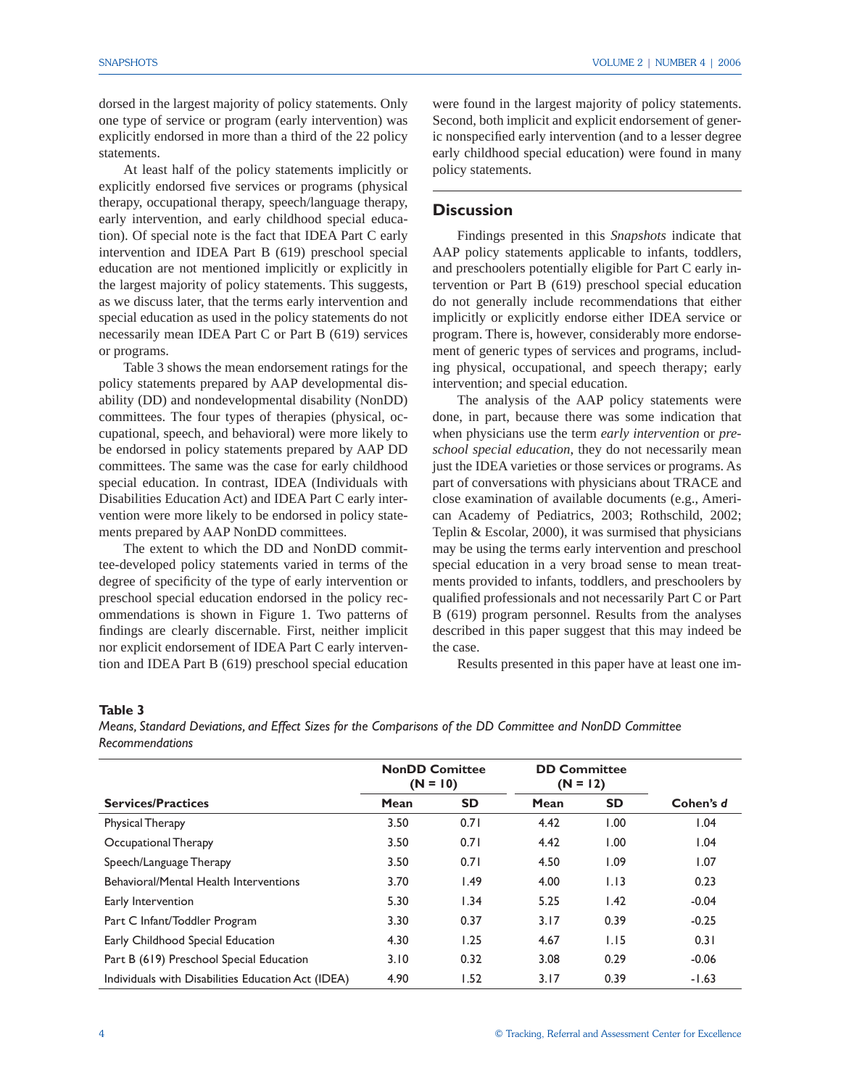dorsed in the largest majority of policy statements. Only one type of service or program (early intervention) was explicitly endorsed in more than a third of the 22 policy statements.

At least half of the policy statements implicitly or explicitly endorsed five services or programs (physical therapy, occupational therapy, speech/language therapy, early intervention, and early childhood special education). Of special note is the fact that IDEA Part C early intervention and IDEA Part B (619) preschool special education are not mentioned implicitly or explicitly in the largest majority of policy statements. This suggests, as we discuss later, that the terms early intervention and special education as used in the policy statements do not necessarily mean IDEA Part C or Part B (619) services or programs.

Table 3 shows the mean endorsement ratings for the policy statements prepared by AAP developmental disability (DD) and nondevelopmental disability (NonDD) committees. The four types of therapies (physical, occupational, speech, and behavioral) were more likely to be endorsed in policy statements prepared by AAP DD committees. The same was the case for early childhood special education. In contrast, IDEA (Individuals with Disabilities Education Act) and IDEA Part C early intervention were more likely to be endorsed in policy statements prepared by AAP NonDD committees.

The extent to which the DD and NonDD committee-developed policy statements varied in terms of the degree of specificity of the type of early intervention or preschool special education endorsed in the policy recommendations is shown in Figure 1. Two patterns of findings are clearly discernable. First, neither implicit nor explicit endorsement of IDEA Part C early intervention and IDEA Part B (619) preschool special education were found in the largest majority of policy statements. Second, both implicit and explicit endorsement of generic nonspecified early intervention (and to a lesser degree early childhood special education) were found in many policy statements.

## **Discussion**

 Findings presented in this *Snapshots* indicate that AAP policy statements applicable to infants, toddlers, and preschoolers potentially eligible for Part C early intervention or Part B (619) preschool special education do not generally include recommendations that either implicitly or explicitly endorse either IDEA service or program. There is, however, considerably more endorsement of generic types of services and programs, including physical, occupational, and speech therapy; early intervention; and special education.

 The analysis of the AAP policy statements were done, in part, because there was some indication that when physicians use the term *early intervention* or *preschool special education*, they do not necessarily mean just the IDEA varieties or those services or programs. As part of conversations with physicians about TRACE and close examination of available documents (e.g., American Academy of Pediatrics, 2003; Rothschild, 2002; Teplin & Escolar, 2000), it was surmised that physicians may be using the terms early intervention and preschool special education in a very broad sense to mean treatments provided to infants, toddlers, and preschoolers by qualified professionals and not necessarily Part C or Part B (619) program personnel. Results from the analyses described in this paper suggest that this may indeed be the case.

Results presented in this paper have at least one im-

#### **Table 3**

*Means, Standard Deviations, and Effect Sizes for the Comparisons of the DD Committee and NonDD Committee Recommendations*

|                                                    | <b>NonDD Comittee</b><br>$(N = 10)$ |           | <b>DD Committee</b><br>$(N = 12)$ |           |           |
|----------------------------------------------------|-------------------------------------|-----------|-----------------------------------|-----------|-----------|
| <b>Services/Practices</b>                          | Mean                                | <b>SD</b> | Mean                              | <b>SD</b> | Cohen's d |
| <b>Physical Therapy</b>                            | 3.50                                | 0.71      | 4.42                              | 1.00      | 1.04      |
| Occupational Therapy                               | 3.50                                | 0.71      | 4.42                              | 1.00      | 1.04      |
| Speech/Language Therapy                            | 3.50                                | 0.71      | 4.50                              | 1.09      | 1.07      |
| Behavioral/Mental Health Interventions             | 3.70                                | 1.49      | 4.00                              | 1.13      | 0.23      |
| Early Intervention                                 | 5.30                                | 1.34      | 5.25                              | 1.42      | $-0.04$   |
| Part C Infant/Toddler Program                      | 3.30                                | 0.37      | 3.17                              | 0.39      | $-0.25$   |
| Early Childhood Special Education                  | 4.30                                | 1.25      | 4.67                              | 1.15      | 0.31      |
| Part B (619) Preschool Special Education           | 3.10                                | 0.32      | 3.08                              | 0.29      | $-0.06$   |
| Individuals with Disabilities Education Act (IDEA) | 4.90                                | 1.52      | 3.17                              | 0.39      | $-1.63$   |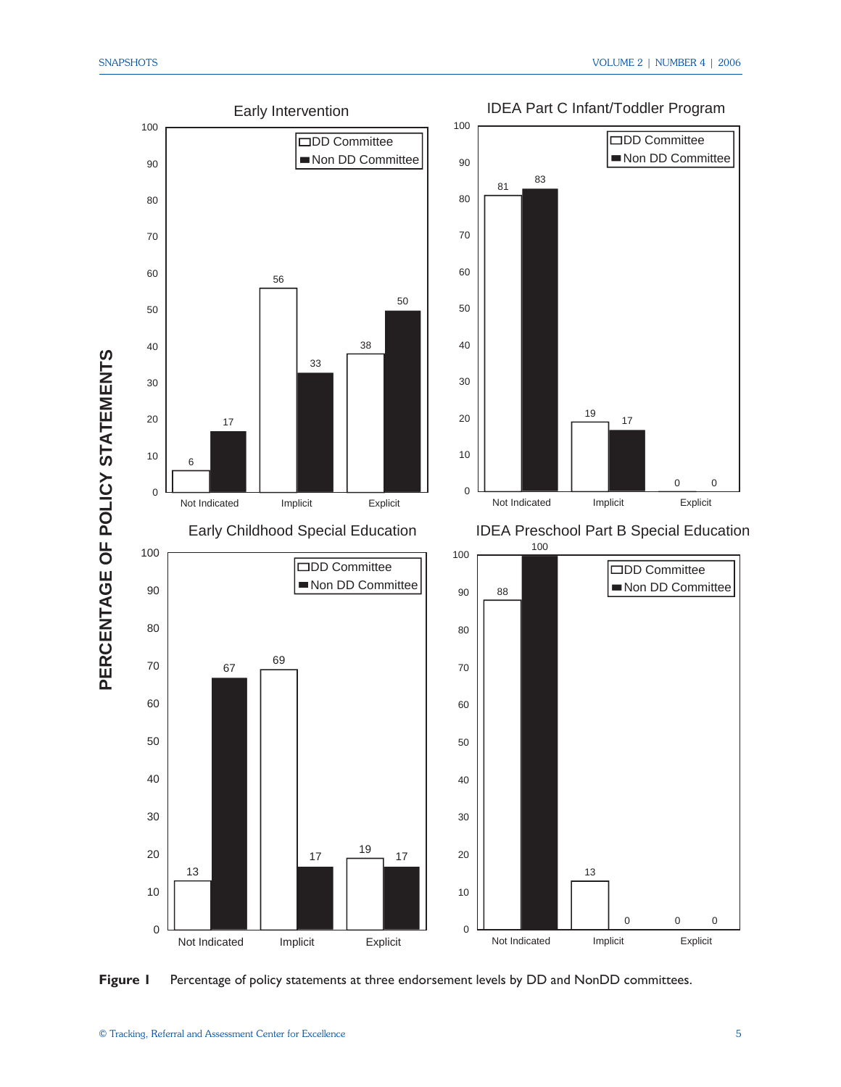**PE R**  $\mathbf C$ **E N T A**

**E**

**F**

<u>ں</u><br>∟

**S**



**Figure 1** Percentage of policy statements at three endorsement levels by DD and NonDD committees.

IDEA Part C Infant/Toddler Program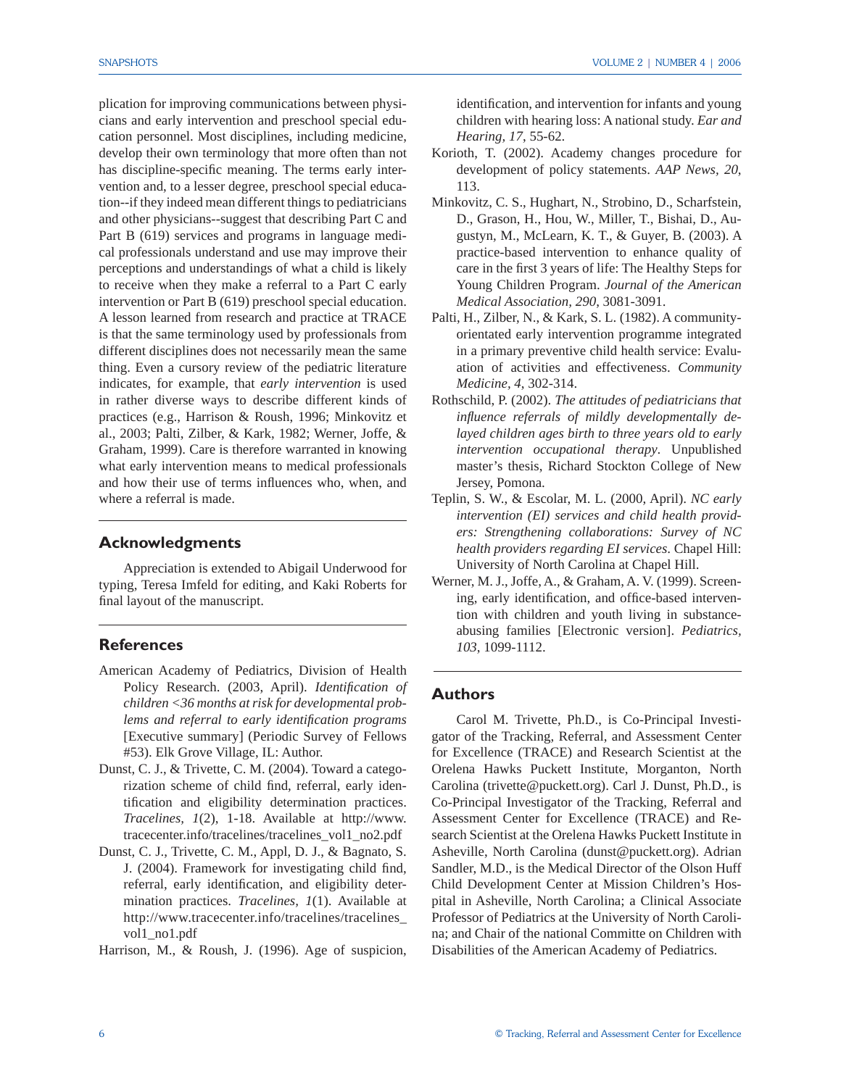plication for improving communications between physicians and early intervention and preschool special education personnel. Most disciplines, including medicine, develop their own terminology that more often than not has discipline-specific meaning. The terms early intervention and, to a lesser degree, preschool special education--if they indeed mean different things to pediatricians and other physicians--suggest that describing Part C and Part B (619) services and programs in language medical professionals understand and use may improve their perceptions and understandings of what a child is likely to receive when they make a referral to a Part C early intervention or Part B (619) preschool special education. A lesson learned from research and practice at TRACE is that the same terminology used by professionals from different disciplines does not necessarily mean the same thing. Even a cursory review of the pediatric literature indicates, for example, that *early intervention* is used in rather diverse ways to describe different kinds of practices (e.g., Harrison & Roush, 1996; Minkovitz et al., 2003; Palti, Zilber, & Kark, 1982; Werner, Joffe, & Graham, 1999). Care is therefore warranted in knowing what early intervention means to medical professionals and how their use of terms influences who, when, and where a referral is made.

#### **Acknowledgments**

 Appreciation is extended to Abigail Underwood for typing, Teresa Imfeld for editing, and Kaki Roberts for final layout of the manuscript.

## **References**

- American Academy of Pediatrics, Division of Health Policy Research. (2003, April). *Identification of children <36 months at risk for developmental problems and referral to early identifi cation programs* [Executive summary] (Periodic Survey of Fellows #53). Elk Grove Village, IL: Author.
- Dunst, C. J., & Trivette, C. M. (2004). Toward a categorization scheme of child find, referral, early identification and eligibility determination practices. *Tracelines, 1*(2), 1-18. Available at http://www. tracecenter.info/tracelines/tracelines\_vol1\_no2.pdf
- Dunst, C. J., Trivette, C. M., Appl, D. J., & Bagnato, S. J. (2004). Framework for investigating child find, referral, early identification, and eligibility determination practices. *Tracelines, 1*(1). Available at http://www.tracecenter.info/tracelines/tracelines\_ vol1\_no1.pdf

Harrison, M., & Roush, J. (1996). Age of suspicion,

identification, and intervention for infants and young children with hearing loss: A national study. *Ear and Hearing, 17*, 55-62.

- Korioth, T. (2002). Academy changes procedure for development of policy statements. *AAP News, 20*, 113.
- Minkovitz, C. S., Hughart, N., Strobino, D., Scharfstein, D., Grason, H., Hou, W., Miller, T., Bishai, D., Augustyn, M., McLearn, K. T., & Guyer, B. (2003). A practice-based intervention to enhance quality of care in the first 3 years of life: The Healthy Steps for Young Children Program. *Journal of the American Medical Association, 290*, 3081-3091.
- Palti, H., Zilber, N., & Kark, S. L. (1982). A communityorientated early intervention programme integrated in a primary preventive child health service: Evaluation of activities and effectiveness. *Community Medicine, 4*, 302-314.
- Rothschild, P. (2002). *The attitudes of pediatricians that*  influence referrals of mildly developmentally de*layed children ages birth to three years old to early intervention occupational therapy*. Unpublished master's thesis, Richard Stockton College of New Jersey, Pomona.
- Teplin, S. W., & Escolar, M. L. (2000, April). *NC early intervention (EI) services and child health providers: Strengthening collaborations: Survey of NC health providers regarding EI services*. Chapel Hill: University of North Carolina at Chapel Hill.
- Werner, M. J., Joffe, A., & Graham, A. V. (1999). Screening, early identification, and office-based intervention with children and youth living in substanceabusing families [Electronic version]. *Pediatrics, 103*, 1099-1112.

## **Authors**

 Carol M. Trivette, Ph.D., is Co-Principal Investigator of the Tracking, Referral, and Assessment Center for Excellence (TRACE) and Research Scientist at the Orelena Hawks Puckett Institute, Morganton, North Carolina (trivette@puckett.org). Carl J. Dunst, Ph.D., is Co-Principal Investigator of the Tracking, Referral and Assessment Center for Excellence (TRACE) and Research Scientist at the Orelena Hawks Puckett Institute in Asheville, North Carolina (dunst@puckett.org). Adrian Sandler, M.D., is the Medical Director of the Olson Huff Child Development Center at Mission Children's Hospital in Asheville, North Carolina; a Clinical Associate Professor of Pediatrics at the University of North Carolina; and Chair of the national Committe on Children with Disabilities of the American Academy of Pediatrics.